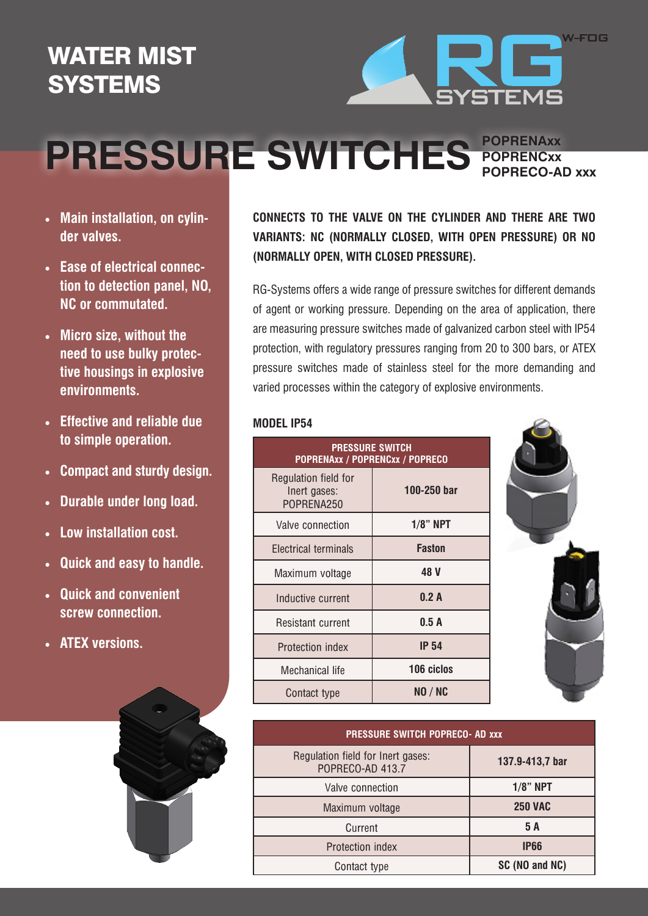## WATER MIST **SYSTEMS**



## **POPRENCxx PRESSURE SWITCHES POPRECO-AD xxx**

**POPRENAxx** 

- **• Main installation, on cylinder valves.**
- **• Ease of electrical connection to detection panel, NO, NC or commutated.**
- **• Micro size, without the need to use bulky protective housings in explosive environments.**
- **• Effective and reliable due to simple operation.**
- **• Compact and sturdy design.**
- **• Durable under long load.**
- **Low installation cost.**
- **Quick and easy to handle.**
- **• Quick and convenient screw connection.**
- **• ATEX versions.**



**CONNECTS TO THE VALVE ON THE CYLINDER AND THERE ARE TWO VARIANTS: NC (NORMALLY CLOSED, WITH OPEN PRESSURE) OR NO (NORMALLY OPEN, WITH CLOSED PRESSURE).**

RG-Systems offers a wide range of pressure switches for different demands of agent or working pressure. Depending on the area of application, there are measuring pressure switches made of galvanized carbon steel with IP54 protection, with regulatory pressures ranging from 20 to 300 bars, or ATEX pressure switches made of stainless steel for the more demanding and varied processes within the category of explosive environments.

## **MODEL IP54**

| <b>PRESSURE SWITCH</b><br>POPRENAxx / POPRENCxx / POPRECO |               |  |
|-----------------------------------------------------------|---------------|--|
| Regulation field for<br>Inert gases:<br>POPRENA250        | 100-250 bar   |  |
| Valve connection                                          | $1/8$ " NPT   |  |
| Electrical terminals                                      | <b>Faston</b> |  |
| Maximum voltage                                           | 48 V          |  |
| Inductive current                                         | 0.2A          |  |
| Resistant current                                         | 0.5A          |  |
| Protection index                                          | <b>IP 54</b>  |  |
| Mechanical life                                           | 106 ciclos    |  |
| Contact type                                              | NO / NC       |  |



| <b>PRESSURE SWITCH POPRECO- AD XXX</b>                |                 |  |
|-------------------------------------------------------|-----------------|--|
| Regulation field for Inert gases:<br>POPRECO-AD 413.7 | 137.9-413,7 bar |  |
| Valve connection                                      | $1/8$ " NPT     |  |
| Maximum voltage                                       | <b>250 VAC</b>  |  |
| Current                                               | 5 A             |  |
| Protection index                                      | <b>IP66</b>     |  |
| Contact type                                          | SC (NO and NC)  |  |